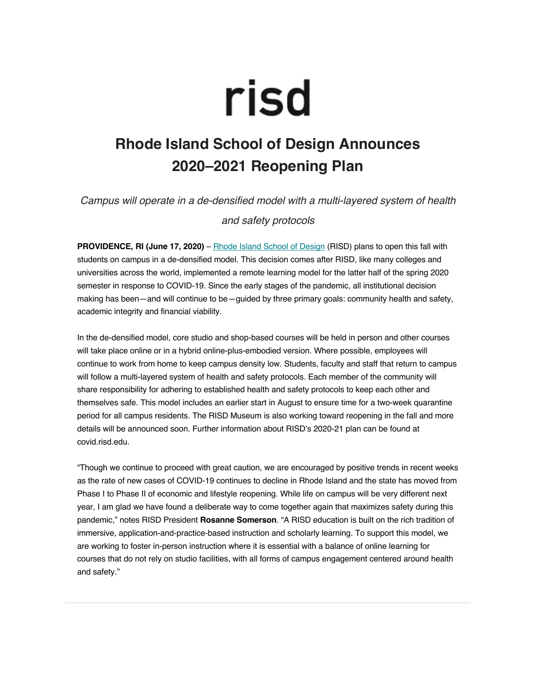## risd

## **Rhode Island School of Design Announces 2020–2021 Reopening Plan**

*Campus will operate in a de-densified model with a multi-layered system of health and safety protocols*

**PROVIDENCE, RI (June 17, 2020)** – Rhode Island School of Design (RISD) plans to open this fall with students on campus in a de-densified model. This decision comes after RISD, like many colleges and universities across the world, implemented a remote learning model for the latter half of the spring 2020 semester in response to COVID-19. Since the early stages of the pandemic, all institutional decision making has been—and will continue to be—guided by three primary goals: community health and safety, academic integrity and financial viability.

In the de-densified model, core studio and shop-based courses will be held in person and other courses will take place online or in a hybrid online-plus-embodied version. Where possible, employees will continue to work from home to keep campus density low. Students, faculty and staff that return to campus will follow a multi-layered system of health and safety protocols. Each member of the community will share responsibility for adhering to established health and safety protocols to keep each other and themselves safe. This model includes an earlier start in August to ensure time for a two-week quarantine period for all campus residents. The RISD Museum is also working toward reopening in the fall and more details will be announced soon. Further information about RISD's 2020-21 plan can be found at covid.risd.edu.

"Though we continue to proceed with great caution, we are encouraged by positive trends in recent weeks as the rate of new cases of COVID-19 continues to decline in Rhode Island and the state has moved from Phase I to Phase II of economic and lifestyle reopening. While life on campus will be very different next year, I am glad we have found a deliberate way to come together again that maximizes safety during this pandemic," notes RISD President **Rosanne Somerson**. "A RISD education is built on the rich tradition of immersive, application-and-practice-based instruction and scholarly learning. To support this model, we are working to foster in-person instruction where it is essential with a balance of online learning for courses that do not rely on studio facilities, with all forms of campus engagement centered around health and safety."